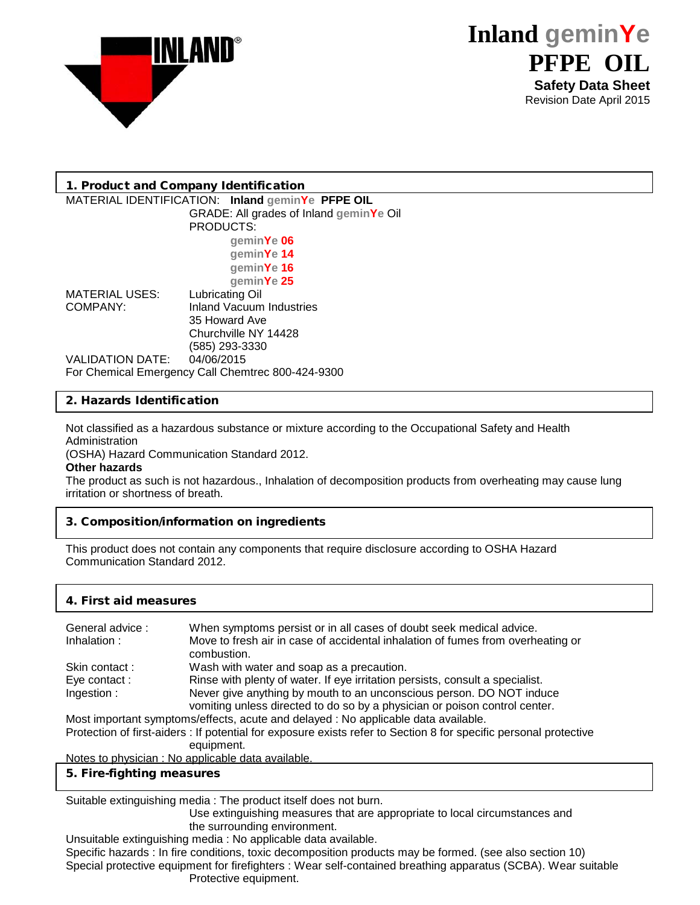



## 1. Product and Company Identification

#### MATERIAL IDENTIFICATION: **Inland geminYe PFPE OIL**  GRADE: All grades of Inland **geminYe** Oil PRODUCTS: **geminYe 06 geminYe 14 geminYe 16** geminYe 25<br>**Lubricating Oil** MATERIAL USES:<br>COMPANY: Inland Vacuum Industries 35 Howard Ave Churchville NY 14428 (585) 293-3330 VALIDATION DATE: For Chemical Emergency Call Chemtrec 800-424-9300

## 2. Hazards Identification

Not classified as a hazardous substance or mixture according to the Occupational Safety and Health Administration

(OSHA) Hazard Communication Standard 2012.

### **Other hazards**

The product as such is not hazardous., Inhalation of decomposition products from overheating may cause lung irritation or shortness of breath.

### 3. Composition/information on ingredients

This product does not contain any components that require disclosure according to OSHA Hazard Communication Standard 2012.

# 4. First aid measures

| General advice: | When symptoms persist or in all cases of doubt seek medical advice.                                             |
|-----------------|-----------------------------------------------------------------------------------------------------------------|
| Inhalation:     | Move to fresh air in case of accidental inhalation of fumes from overheating or                                 |
|                 | combustion.                                                                                                     |
| Skin contact:   | Wash with water and soap as a precaution.                                                                       |
| Eye contact:    | Rinse with plenty of water. If eye irritation persists, consult a specialist.                                   |
| Ingestion:      | Never give anything by mouth to an unconscious person. DO NOT induce                                            |
|                 | vomiting unless directed to do so by a physician or poison control center.                                      |
|                 | A Albert Constantino and Constantino and Constantino and Constantino and Albert Constantino and Constantino and |

Most important symptoms/effects, acute and delayed : No applicable data available.

Protection of first-aiders : If potential for exposure exists refer to Section 8 for specific personal protective equipment.

Notes to physician : No applicable data available.

### 5. Fire-fighting measures

Suitable extinguishing media : The product itself does not burn.

Use extinguishing measures that are appropriate to local circumstances and the surrounding environment.

Unsuitable extinguishing media : No applicable data available.

Specific hazards : In fire conditions, toxic decomposition products may be formed. (see also section 10) Special protective equipment for firefighters : Wear self-contained breathing apparatus (SCBA). Wear suitable Protective equipment.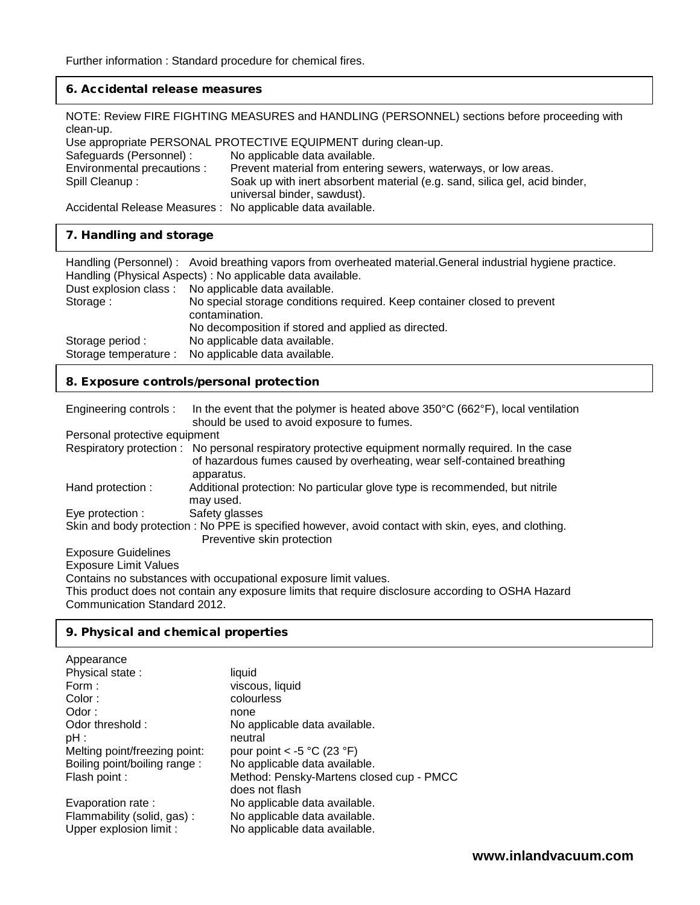# 6. Accidental release measures

NOTE: Review FIRE FIGHTING MEASURES and HANDLING (PERSONNEL) sections before proceeding with clean-up.

Use appropriate PERSONAL PROTECTIVE EQUIPMENT during clean-up.

| Safeguards (Personnel) :                                    | No applicable data available.                                                                             |
|-------------------------------------------------------------|-----------------------------------------------------------------------------------------------------------|
| Environmental precautions :                                 | Prevent material from entering sewers, waterways, or low areas.                                           |
| Spill Cleanup :                                             | Soak up with inert absorbent material (e.g. sand, silica gel, acid binder,<br>universal binder, sawdust). |
| Accidental Release Measures : No applicable data available. |                                                                                                           |

## 7. Handling and storage

|                       | Handling (Personnel): Avoid breathing vapors from overheated material. General industrial hygiene practice.<br>Handling (Physical Aspects) : No applicable data available. |
|-----------------------|----------------------------------------------------------------------------------------------------------------------------------------------------------------------------|
|                       | Dust explosion class : No applicable data available.                                                                                                                       |
| Storage:              | No special storage conditions required. Keep container closed to prevent<br>contamination.                                                                                 |
| Storage period:       | No decomposition if stored and applied as directed.<br>No applicable data available.                                                                                       |
| Storage temperature : | No applicable data available.                                                                                                                                              |

## 8. Exposure controls/personal protection

| Engineering controls:         | In the event that the polymer is heated above $350^{\circ}$ C (662 $^{\circ}$ F), local ventilation<br>should be used to avoid exposure to fumes.                                            |
|-------------------------------|----------------------------------------------------------------------------------------------------------------------------------------------------------------------------------------------|
| Personal protective equipment |                                                                                                                                                                                              |
|                               | Respiratory protection: No personal respiratory protective equipment normally required. In the case<br>of hazardous fumes caused by overheating, wear self-contained breathing<br>apparatus. |
| Hand protection :             | Additional protection: No particular glove type is recommended, but nitrile<br>may used.                                                                                                     |
| Eye protection :              | Safety glasses                                                                                                                                                                               |
|                               | Skin and body protection : No PPE is specified however, avoid contact with skin, eyes, and clothing.<br>Preventive skin protection                                                           |
| <b>Exposure Guidelines</b>    |                                                                                                                                                                                              |
| <b>Exposure Limit Values</b>  |                                                                                                                                                                                              |

Contains no substances with occupational exposure limit values.

This product does not contain any exposure limits that require disclosure according to OSHA Hazard Communication Standard 2012.

## 9. Physical and chemical properties

| liquid                                         |
|------------------------------------------------|
| viscous, liquid                                |
| colourless                                     |
| none                                           |
| No applicable data available.                  |
| neutral                                        |
| pour point < -5 $^{\circ}$ C (23 $^{\circ}$ F) |
| No applicable data available.                  |
| Method: Pensky-Martens closed cup - PMCC       |
| does not flash                                 |
| No applicable data available.                  |
| No applicable data available.                  |
| No applicable data available.                  |
|                                                |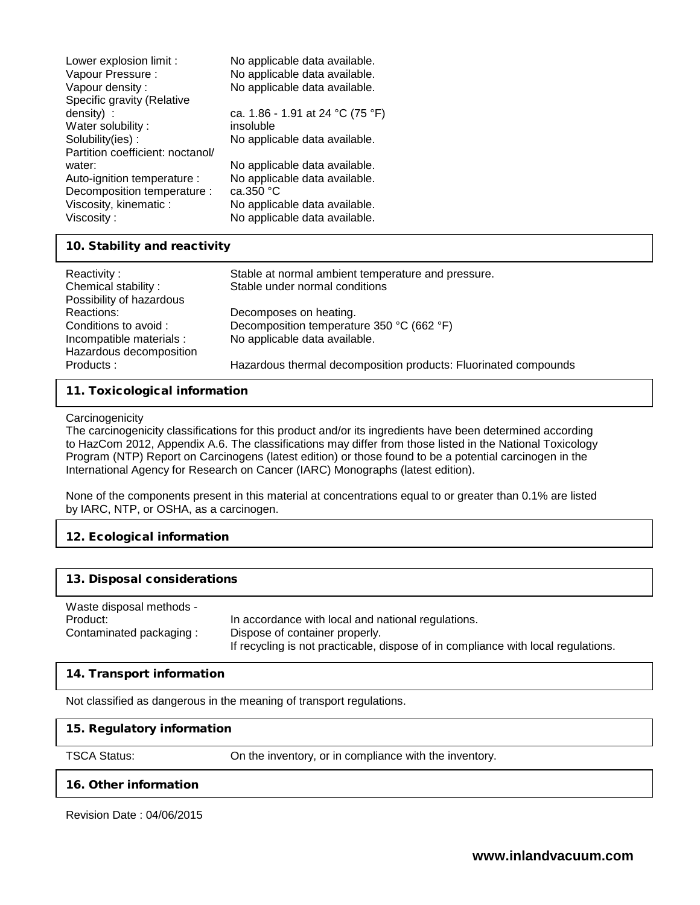| Lower explosion limit :          | No applicable data available.    |
|----------------------------------|----------------------------------|
| Vapour Pressure :                | No applicable data available.    |
| Vapour density:                  | No applicable data available.    |
| Specific gravity (Relative       |                                  |
| density) :                       | ca. 1.86 - 1.91 at 24 °C (75 °F) |
| Water solubility:                | insoluble                        |
| Solubility(ies):                 | No applicable data available.    |
| Partition coefficient: noctanol/ |                                  |
| water:                           | No applicable data available.    |
| Auto-ignition temperature :      | No applicable data available.    |
| Decomposition temperature :      | ca.350 °C                        |
| Viscosity, kinematic:            | No applicable data available.    |
| Viscosity:                       | No applicable data available.    |

## 10. Stability and reactivity

| Reactivity:<br>Chemical stability:<br>Possibility of hazardous                             | Stable at normal ambient temperature and pressure.<br>Stable under normal conditions                 |
|--------------------------------------------------------------------------------------------|------------------------------------------------------------------------------------------------------|
| Reactions:<br>Conditions to avoid :<br>Incompatible materials :<br>Hazardous decomposition | Decomposes on heating.<br>Decomposition temperature 350 °C (662 °F)<br>No applicable data available. |
| Products:                                                                                  | Hazardous thermal decomposition products: Fluorinated compounds                                      |

## 11. Toxicological information

#### **Carcinogenicity**

The carcinogenicity classifications for this product and/or its ingredients have been determined according to HazCom 2012, Appendix A.6. The classifications may differ from those listed in the National Toxicology Program (NTP) Report on Carcinogens (latest edition) or those found to be a potential carcinogen in the International Agency for Research on Cancer (IARC) Monographs (latest edition).

None of the components present in this material at concentrations equal to or greater than 0.1% are listed by IARC, NTP, or OSHA, as a carcinogen.

## 12. Ecological information

### 13. Disposal considerations

Waste disposal methods - Product: In accordance with local and national regulations. Contaminated packaging : Dispose of container properly. If recycling is not practicable, dispose of in compliance with local regulations.

## 14. Transport information

Not classified as dangerous in the meaning of transport regulations.

### 15. Regulatory information

TSCA Status: On the inventory, or in compliance with the inventory.

### 16. Other information

Revision Date : 04/06/2015